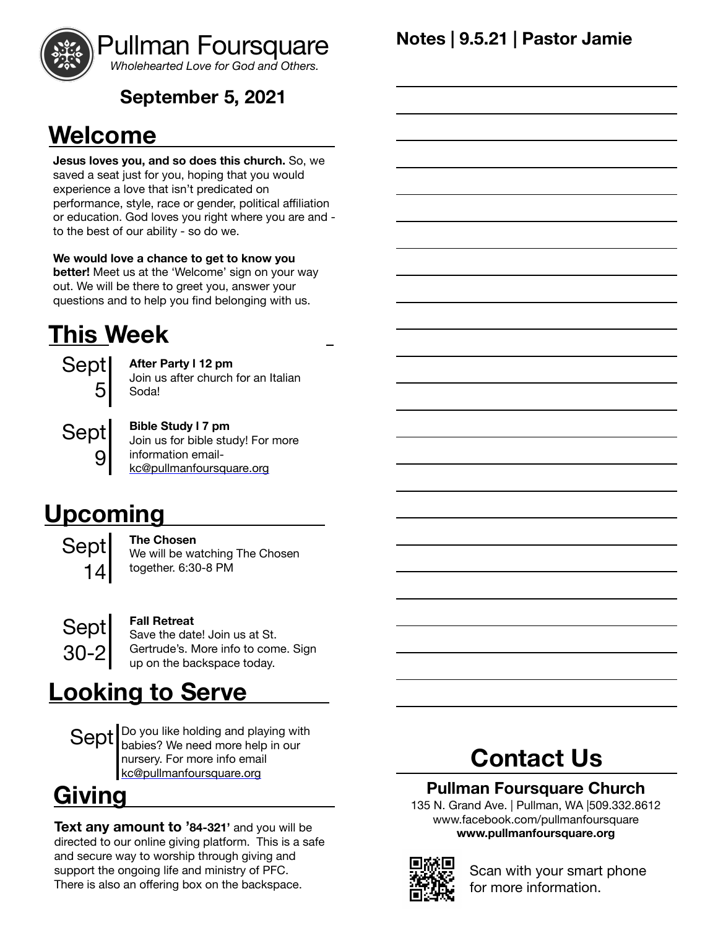

### **September 5, 2021**

## **Welcome**

**Jesus loves you, and so does this church.** So, we saved a seat just for you, hoping that you would experience a love that isn't predicated on performance, style, race or gender, political affiliation or education. God loves you right where you are and to the best of our ability - so do we.

**We would love a chance to get to know you better!** Meet us at the 'Welcome' sign on your way out. We will be there to greet you, answer your questions and to help you find belonging with us.

# **This Week**

**After Party l 12 pm**  Join us after church for an Italian Soda!

Sept 9

Sept

5

**Bible Study l 7 pm**  Join us for bible study! For more information email[kc@pullmanfoursquare.org](mailto:kc@pullmanfoursquare.org)

## **Upcoming**

Sept 14

#### **The Chosen**

We will be watching The Chosen together. 6:30-8 PM

**Sept** 30-2

#### **Fall Retreat**

Save the date! Join us at St. Gertrude's. More info to come. Sign up on the backspace today.

# **Looking to Serve**

Sept Do you like holding and playing with babies? We need more help in our nursery. For more info email [kc@pullmanfoursquare.org](mailto:kc@pullmanfoursquare.org)

# **Giving**

**Text any amount to '84-321'** and you will be directed to our online giving platform. This is a safe and secure way to worship through giving and support the ongoing life and ministry of PFC. There is also an offering box on the backspace.

### **Notes | 9.5.21 | Pastor Jamie**

<u> 1989 - Johann Barn, mars eta bainar eta industrial eta industrial eta industrial eta industrial eta industria</u>

# **Contact Us**

### **Pullman Foursquare Church**

135 N. Grand Ave. | Pullman, WA |509.332.8612 www.facebook.com/pullmanfoursquare **www.pullmanfoursquare.org**



Scan with your smart phone for more information.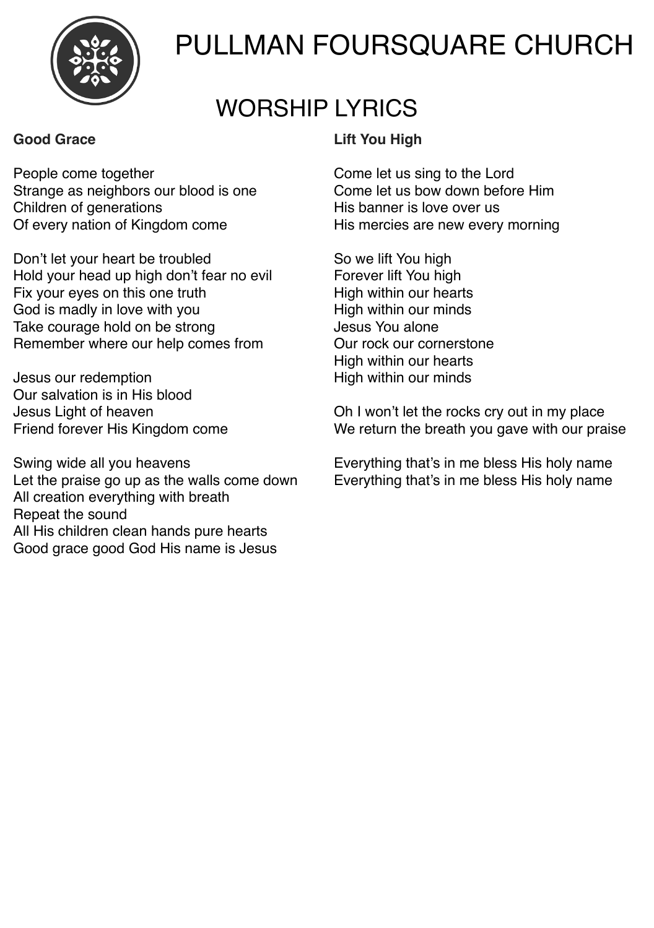

# PULLMAN FOURSQUARE CHURCH

## WORSHIP I YRICS

#### **Good Grace**

People come together Strange as neighbors our blood is one Children of generations Of every nation of Kingdom come

Don't let your heart be troubled Hold your head up high don't fear no evil Fix your eyes on this one truth God is madly in love with you Take courage hold on be strong Remember where our help comes from

Jesus our redemption Our salvation is in His blood Jesus Light of heaven Friend forever His Kingdom come

Swing wide all you heavens Let the praise go up as the walls come down All creation everything with breath Repeat the sound All His children clean hands pure hearts Good grace good God His name is Jesus

#### **Lift You High**

Come let us sing to the Lord Come let us bow down before Him His banner is love over us His mercies are new every morning

So we lift You high Forever lift You high High within our hearts High within our minds Jesus You alone Our rock our cornerstone High within our hearts High within our minds

Oh I won't let the rocks cry out in my place We return the breath you gave with our praise

Everything that's in me bless His holy name Everything that's in me bless His holy name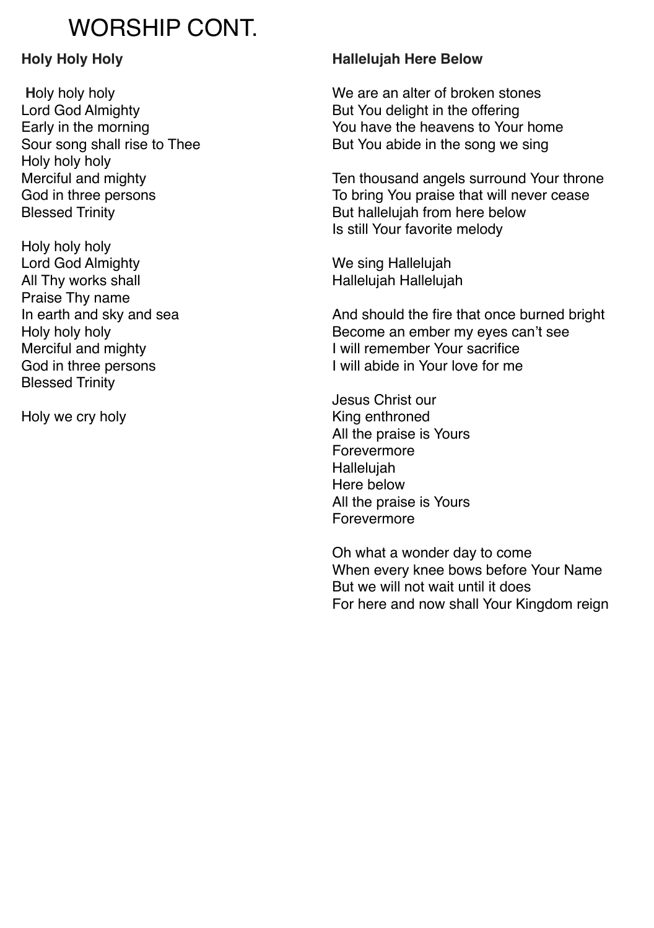## WORSHIP CONT.

#### **Holy Holy Holy**

 **H**oly holy holy Lord God Almighty Early in the morning Sour song shall rise to Thee Holy holy holy Merciful and mighty God in three persons Blessed Trinity

Holy holy holy Lord God Almighty All Thy works shall Praise Thy name In earth and sky and sea Holy holy holy Merciful and mighty God in three persons Blessed Trinity

Holy we cry holy

#### **Hallelujah Here Below**

We are an alter of broken stones But You delight in the offering You have the heavens to Your home But You abide in the song we sing

Ten thousand angels surround Your throne To bring You praise that will never cease But hallelujah from here below Is still Your favorite melody

We sing Hallelujah Hallelujah Hallelujah

And should the fire that once burned bright Become an ember my eyes can't see I will remember Your sacrifice I will abide in Your love for me

Jesus Christ our King enthroned All the praise is Yours **Forevermore** Hallelujah Here below All the praise is Yours Forevermore

Oh what a wonder day to come When every knee bows before Your Name But we will not wait until it does For here and now shall Your Kingdom reign